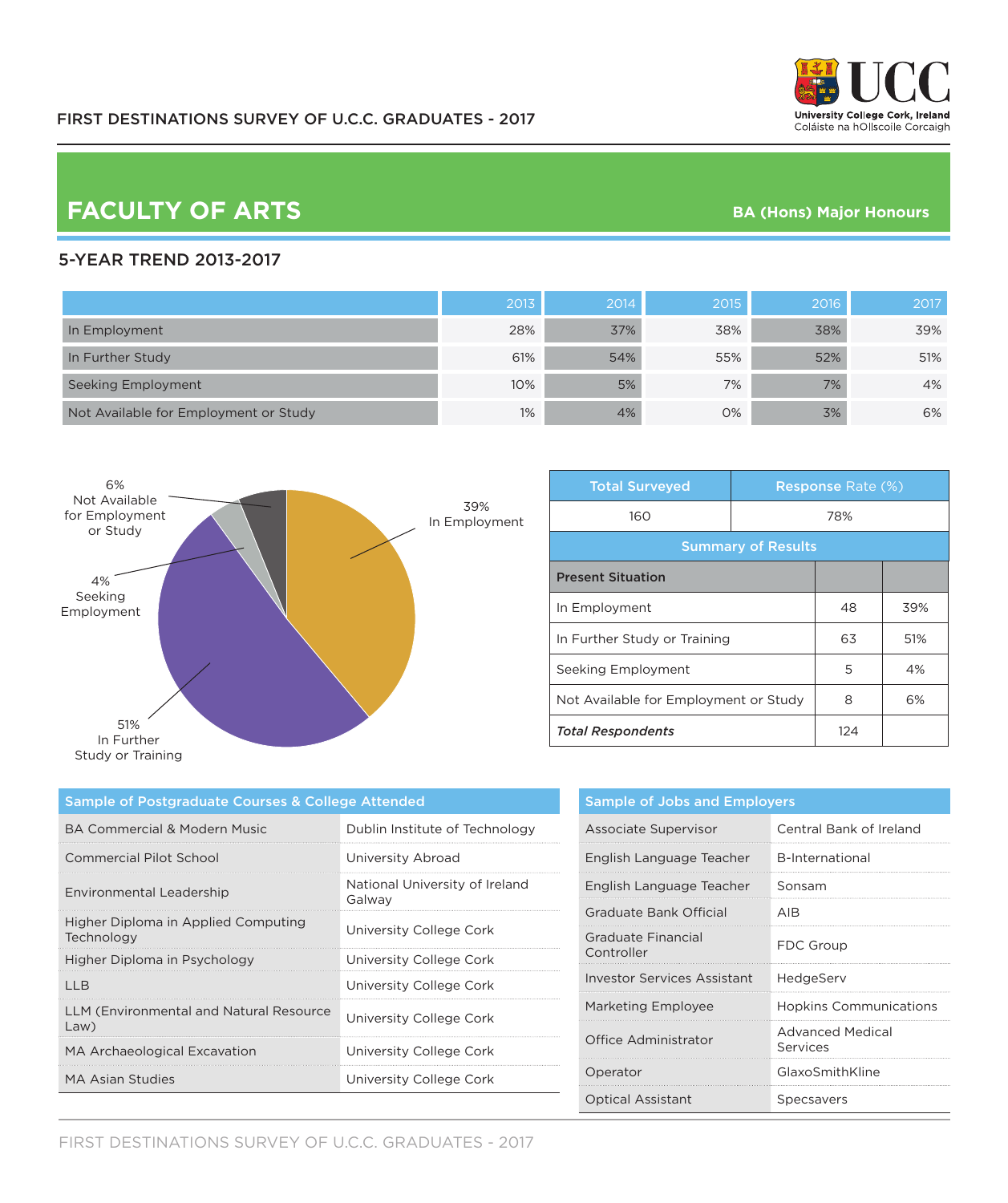# **FACULTY OF ARTS BA (Hons) Major Honours**

### 5-YEAR TREND 2013-2017

|                                       | 2013 | 2014 | 2015 | 2016 | 2017 |
|---------------------------------------|------|------|------|------|------|
| In Employment                         | 28%  | 37%  | 38%  | 38%  | 39%  |
| In Further Study                      | 61%  | 54%  | 55%  | 52%  | 51%  |
| Seeking Employment                    | 10%  | 5%   | 7%   | 7%   | 4%   |
| Not Available for Employment or Study | 1%   | 4%   | 0%   | 3%   | 6%   |



| <b>Total Surveyed</b>                 |     | <b>Response Rate (%)</b> |     |
|---------------------------------------|-----|--------------------------|-----|
| 160                                   | 78% |                          |     |
| <b>Summary of Results</b>             |     |                          |     |
| <b>Present Situation</b>              |     |                          |     |
| In Employment                         |     | 48                       | 39% |
| In Further Study or Training          |     | 63                       | 51% |
| Seeking Employment                    |     | 5                        | 4%  |
| Not Available for Employment or Study |     | 8                        | 6%  |
| <b>Total Respondents</b>              |     | 124                      |     |

| Sample of Postgraduate Courses & College Attended |                                          |  |
|---------------------------------------------------|------------------------------------------|--|
| BA Commercial & Modern Music                      | Dublin Institute of Technology           |  |
| Commercial Pilot School                           | University Abroad                        |  |
| Environmental Leadership                          | National University of Ireland<br>Galway |  |
| Higher Diploma in Applied Computing<br>Technology | University College Cork                  |  |
| Higher Diploma in Psychology                      | University College Cork                  |  |
| IIB                                               | University College Cork                  |  |
| LLM (Environmental and Natural Resource<br>Law)   | University College Cork                  |  |
| MA Archaeological Excavation                      | University College Cork                  |  |
| <b>MA Asian Studies</b>                           | University College Cork                  |  |

| <b>Sample of Jobs and Employers</b> |                                     |  |
|-------------------------------------|-------------------------------------|--|
| Associate Supervisor                | Central Bank of Ireland             |  |
| English Language Teacher            | <b>B-International</b>              |  |
| English Language Teacher            | Sonsam                              |  |
| Graduate Bank Official              | AIR                                 |  |
| Graduate Financial<br>Controller    | FDC Group                           |  |
| Investor Services Assistant         | HedgeServ                           |  |
| <b>Marketing Employee</b>           | <b>Hopkins Communications</b>       |  |
| Office Administrator                | <b>Advanced Medical</b><br>Services |  |
| Operator                            | GlaxoSmithKline                     |  |
| <b>Optical Assistant</b>            | Specsavers                          |  |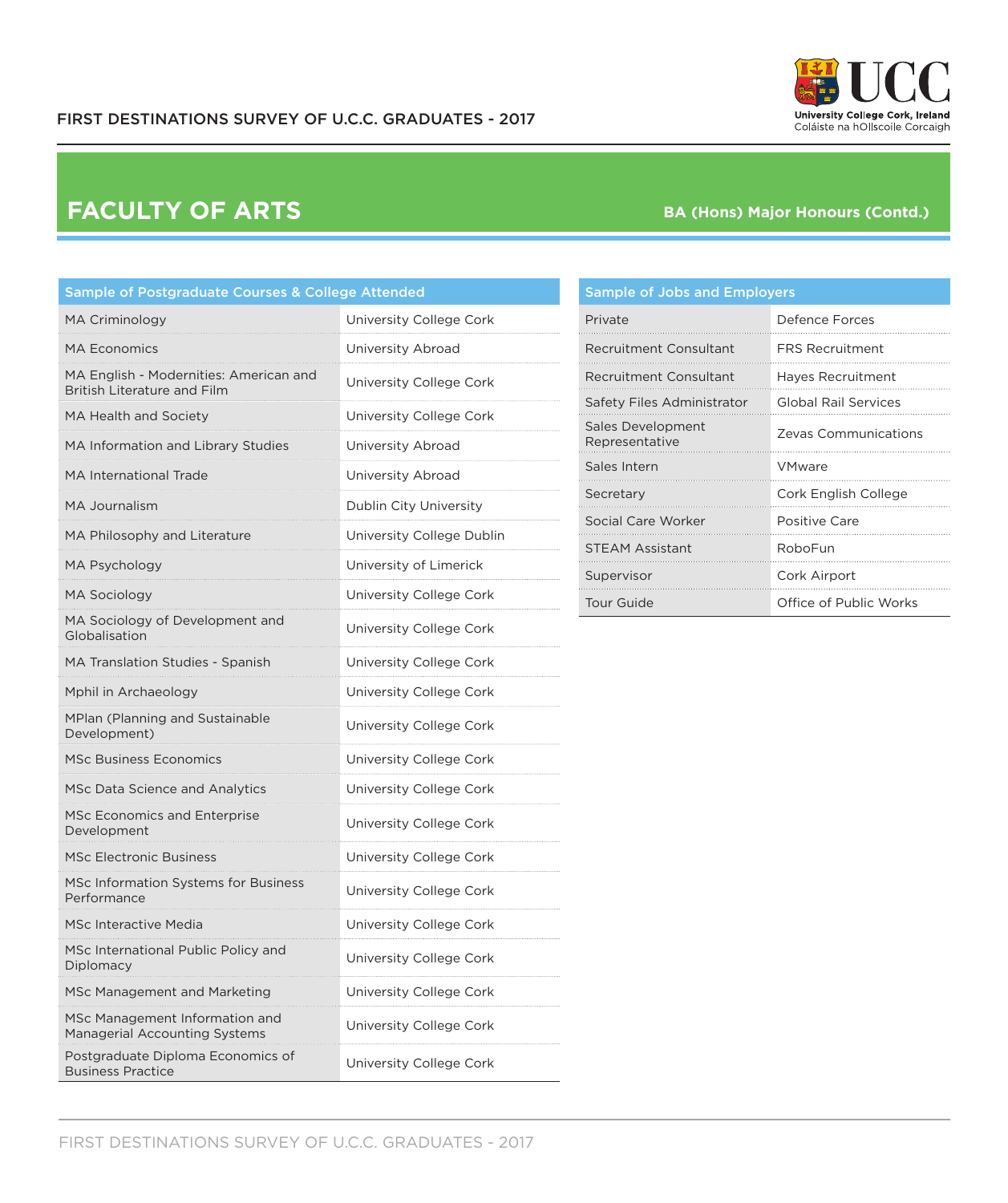

## **FACULTY OF ARTS**

### **BA (Hons) Major Honours (Contd.)**

| Sample of Postgraduate Courses & College Attended                            |                           |  |
|------------------------------------------------------------------------------|---------------------------|--|
| <b>MA Criminology</b>                                                        | University College Cork   |  |
| MA Economics                                                                 | University Abroad         |  |
| MA English - Modernities: American and<br><b>British Literature and Film</b> | University College Cork   |  |
| MA Health and Society                                                        | University College Cork   |  |
| MA Information and Library Studies                                           | University Abroad         |  |
| <b>MA International Trade</b>                                                | University Abroad         |  |
| <b>MA Journalism</b>                                                         | Dublin City University    |  |
| MA Philosophy and Literature                                                 | University College Dublin |  |
| MA Psychology                                                                | University of Limerick    |  |
| <b>MA Sociology</b>                                                          | University College Cork   |  |
| MA Sociology of Development and<br>Globalisation                             | University College Cork   |  |
| MA Translation Studies - Spanish                                             | University College Cork   |  |
| Mphil in Archaeology                                                         | University College Cork   |  |
| <b>MPlan (Planning and Sustainable</b><br>Development)                       | University College Cork   |  |
| <b>MSc Business Economics</b>                                                | University College Cork   |  |
| <b>MSc Data Science and Analytics</b>                                        | University College Cork   |  |
| <b>MSc Economics and Enterprise</b><br>Development                           | University College Cork   |  |
| <b>MSc Electronic Business</b>                                               | University College Cork   |  |
| MSc Information Systems for Business<br>Performance                          | University College Cork   |  |
| <b>MSc Interactive Media</b>                                                 | University College Cork   |  |
| MSc International Public Policy and<br>Diplomacy                             | University College Cork   |  |
| MSc Management and Marketing                                                 | University College Cork   |  |
| MSc Management Information and<br>Managerial Accounting Systems              | University College Cork   |  |
| Postgraduate Diploma Economics of<br><b>Business Practice</b>                | University College Cork   |  |

#### Sample of Jobs and Employers

| Private                             | Defence Forces              |
|-------------------------------------|-----------------------------|
| Recruitment Consultant              | <b>FRS Recruitment</b>      |
| Recruitment Consultant              | Hayes Recruitment           |
| Safety Files Administrator          | <b>Global Rail Services</b> |
| Sales Development<br>Representative | Zevas Communications        |
| Sales Intern                        | <b>VMware</b>               |
| Secretary                           | Cork English College        |
| Social Care Worker                  | Positive Care               |
| <b>STEAM Assistant</b>              | RoboFun                     |
| Supervisor                          | Cork Airport                |
| Tour Guide                          | Office of Public Works      |